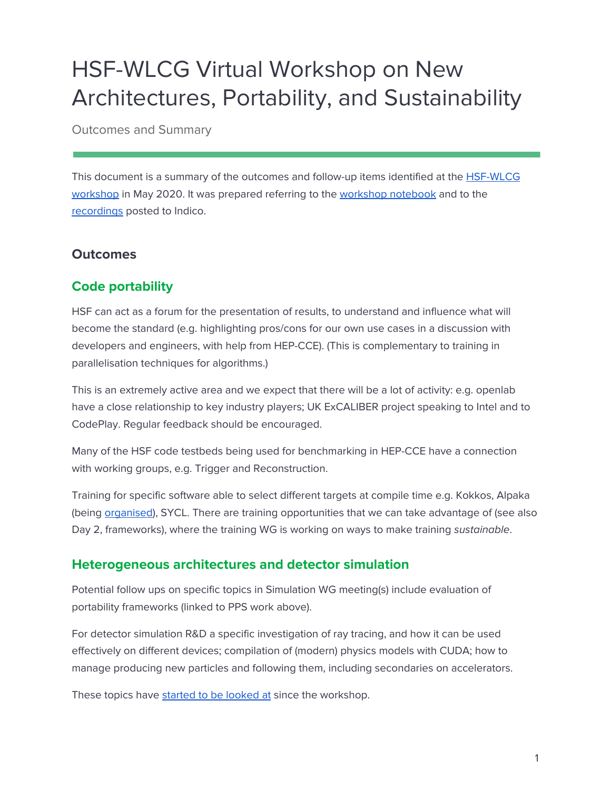# HSF-WLCG Virtual Workshop on New Architectures, Portability, and Sustainability

Outcomes and Summary

This document is a summary of the outcomes and follow-up items identified at the [HSF-WLCG](https://indico.cern.ch/event/908146/) [workshop](https://indico.cern.ch/event/908146/) in May 2020. It was prepared referring to the [workshop](https://docs.google.com/document/d/1LEl3-kcP51gSRK4HcsFynKZd9V39KNnc6xVhuw1T9a4/edit?usp=sharing) notebook and to the [recordings](https://indico.cern.ch/event/908146/timetable/) posted to Indico.

## **Outcomes**

## **Code portability**

HSF can act as a forum for the presentation of results, to understand and influence what will become the standard (e.g. highlighting pros/cons for our own use cases in a discussion with developers and engineers, with help from HEP-CCE). (This is complementary to training in parallelisation techniques for algorithms.)

This is an extremely active area and we expect that there will be a lot of activity: e.g. openlab have a close relationship to key industry players; UK ExCALIBER project speaking to Intel and to CodePlay. Regular feedback should be encouraged.

Many of the HSF code testbeds being used for benchmarking in HEP-CCE have a connection with working groups, e.g. Trigger and Reconstruction.

Training for specific software able to select different targets at compile time e.g. Kokkos, Alpaka (being [organised](https://indico.cern.ch/event/912156/)), SYCL. There are training opportunities that we can take advantage of (see also Day 2, frameworks), where the training WG is working on ways to make training sustainable.

## **Heterogeneous architectures and detector simulation**

Potential follow ups on specific topics in Simulation WG meeting(s) include evaluation of portability frameworks (linked to PPS work above).

For detector simulation R&D a specific investigation of ray tracing, and how it can be used effectively on different devices; compilation of (modern) physics models with CUDA; how to manage producing new particles and following them, including secondaries on accelerators.

These topics have started to be [looked](https://indico.cern.ch/event/925887/) at since the workshop.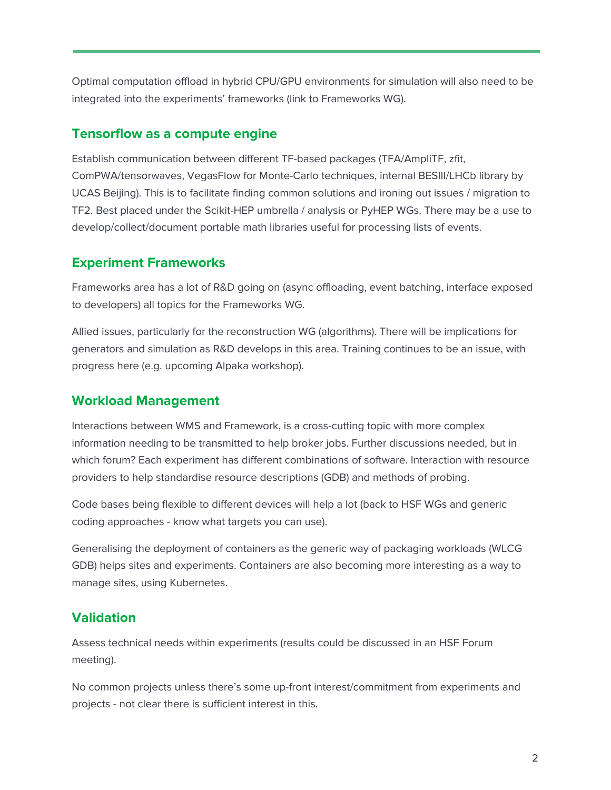Optimal computation offload in hybrid CPU/GPU environments for simulation will also need to be integrated into the experiments' frameworks (link to Frameworks WG).

#### **Tensorflow as a compute engine**

Establish communication between different TF-based packages (TFA/AmpliTF, zfit, ComPWA/tensorwaves, VegasFlow for Monte-Carlo techniques, internal BESIII/LHCb library by UCAS Beijing). This is to facilitate finding common solutions and ironing out issues / migration to TF2. Best placed under the Scikit-HEP umbrella / analysis or PyHEP WGs. There may be a use to develop/collect/document portable math libraries useful for processing lists of events.

#### **Experiment Frameworks**

Frameworks area has a lot of R&D going on (async offloading, event batching, interface exposed to developers) all topics for the Frameworks WG.

Allied issues, particularly for the reconstruction WG (algorithms). There will be implications for generators and simulation as R&D develops in this area. Training continues to be an issue, with progress here (e.g. upcoming Alpaka workshop).

#### **Workload Management**

Interactions between WMS and Framework, is a cross-cutting topic with more complex information needing to be transmitted to help broker jobs. Further discussions needed, but in which forum? Each experiment has different combinations of software. Interaction with resource providers to help standardise resource descriptions (GDB) and methods of probing.

Code bases being flexible to different devices will help a lot (back to HSF WGs and generic coding approaches - know what targets you can use).

Generalising the deployment of containers as the generic way of packaging workloads (WLCG GDB) helps sites and experiments. Containers are also becoming more interesting as a way to manage sites, using Kubernetes.

#### **Validation**

Assess technical needs within experiments (results could be discussed in an HSF Forum meeting).

No common projects unless there's some up-front interest/commitment from experiments and projects - not clear there is sufficient interest in this.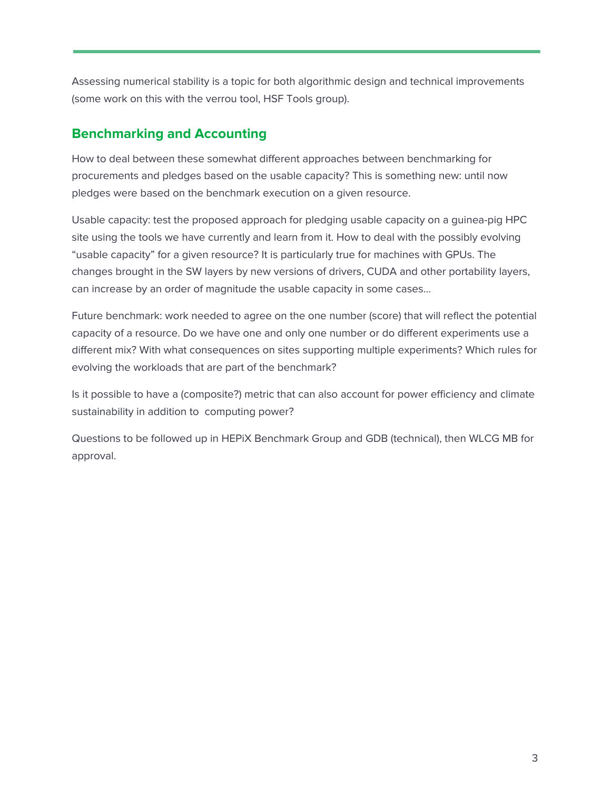Assessing numerical stability is a topic for both algorithmic design and technical improvements (some work on this with the verrou tool, HSF Tools group).

## **Benchmarking and Accounting**

How to deal between these somewhat different approaches between benchmarking for procurements and pledges based on the usable capacity? This is something new: until now pledges were based on the benchmark execution on a given resource.

Usable capacity: test the proposed approach for pledging usable capacity on a guinea-pig HPC site using the tools we have currently and learn from it. How to deal with the possibly evolving "usable capacity" for a given resource? It is particularly true for machines with GPUs. The changes brought in the SW layers by new versions of drivers, CUDA and other portability layers, can increase by an order of magnitude the usable capacity in some cases…

Future benchmark: work needed to agree on the one number (score) that will reflect the potential capacity of a resource. Do we have one and only one number or do different experiments use a different mix? With what consequences on sites supporting multiple experiments? Which rules for evolving the workloads that are part of the benchmark?

Is it possible to have a (composite?) metric that can also account for power efficiency and climate sustainability in addition to computing power?

Questions to be followed up in HEPiX Benchmark Group and GDB (technical), then WLCG MB for approval.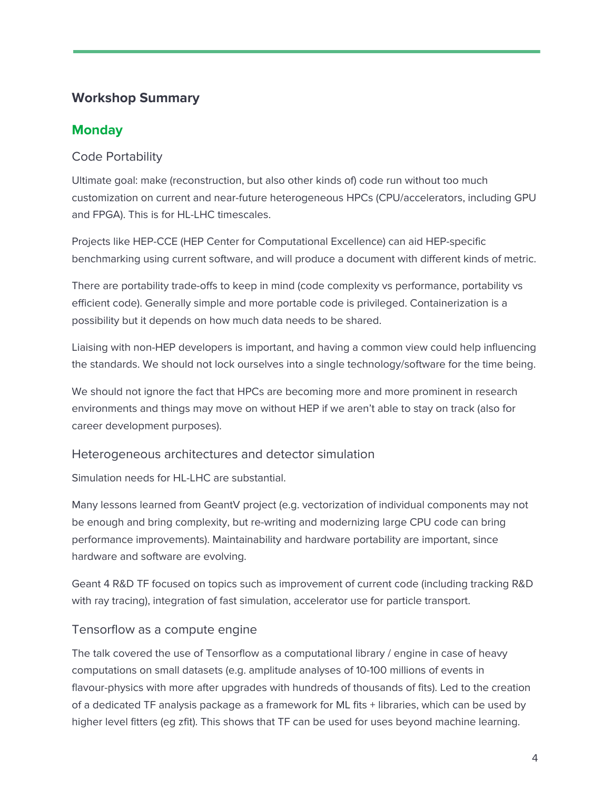# **Workshop Summary**

## **Monday**

## Code Portability

Ultimate goal: make (reconstruction, but also other kinds of) code run without too much customization on current and near-future heterogeneous HPCs (CPU/accelerators, including GPU and FPGA). This is for HL-LHC timescales.

Projects like HEP-CCE (HEP Center for Computational Excellence) can aid HEP-specific benchmarking using current software, and will produce a document with different kinds of metric.

There are portability trade-offs to keep in mind (code complexity vs performance, portability vs efficient code). Generally simple and more portable code is privileged. Containerization is a possibility but it depends on how much data needs to be shared.

Liaising with non-HEP developers is important, and having a common view could help influencing the standards. We should not lock ourselves into a single technology/software for the time being.

We should not ignore the fact that HPCs are becoming more and more prominent in research environments and things may move on without HEP if we aren't able to stay on track (also for career development purposes).

## Heterogeneous architectures and detector simulation

Simulation needs for HL-LHC are substantial.

Many lessons learned from GeantV project (e.g. vectorization of individual components may not be enough and bring complexity, but re-writing and modernizing large CPU code can bring performance improvements). Maintainability and hardware portability are important, since hardware and software are evolving.

Geant 4 R&D TF focused on topics such as improvement of current code (including tracking R&D with ray tracing), integration of fast simulation, accelerator use for particle transport.

## Tensorflow as a compute engine

The talk covered the use of Tensorflow as a computational library / engine in case of heavy computations on small datasets (e.g. amplitude analyses of 10-100 millions of events in flavour-physics with more after upgrades with hundreds of thousands of fits). Led to the creation of a dedicated TF analysis package as a framework for ML fits + libraries, which can be used by higher level fitters (eg zfit). This shows that TF can be used for uses beyond machine learning.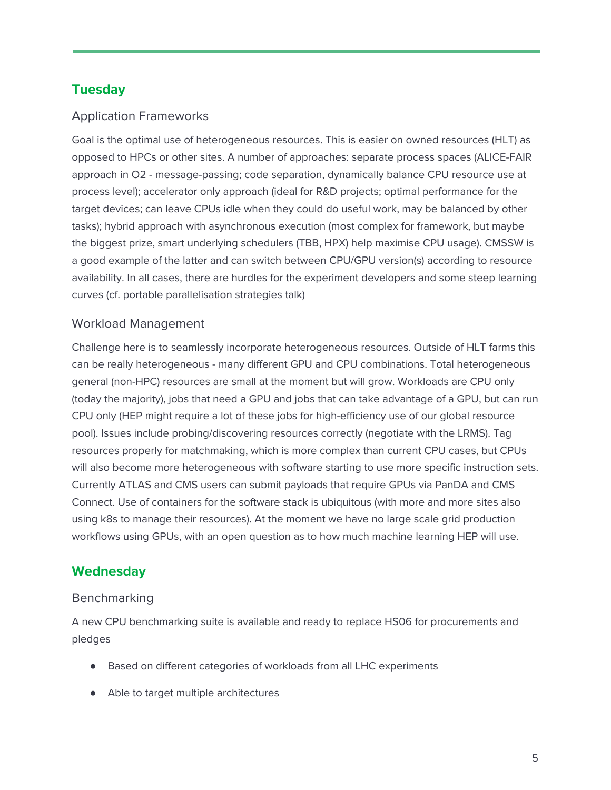# **Tuesday**

### Application Frameworks

Goal is the optimal use of heterogeneous resources. This is easier on owned resources (HLT) as opposed to HPCs or other sites. A number of approaches: separate process spaces (ALICE-FAIR approach in O2 - message-passing; code separation, dynamically balance CPU resource use at process level); accelerator only approach (ideal for R&D projects; optimal performance for the target devices; can leave CPUs idle when they could do useful work, may be balanced by other tasks); hybrid approach with asynchronous execution (most complex for framework, but maybe the biggest prize, smart underlying schedulers (TBB, HPX) help maximise CPU usage). CMSSW is a good example of the latter and can switch between CPU/GPU version(s) according to resource availability. In all cases, there are hurdles for the experiment developers and some steep learning curves (cf. portable parallelisation strategies talk)

#### Workload Management

Challenge here is to seamlessly incorporate heterogeneous resources. Outside of HLT farms this can be really heterogeneous - many different GPU and CPU combinations. Total heterogeneous general (non-HPC) resources are small at the moment but will grow. Workloads are CPU only (today the majority), jobs that need a GPU and jobs that can take advantage of a GPU, but can run CPU only (HEP might require a lot of these jobs for high-efficiency use of our global resource pool). Issues include probing/discovering resources correctly (negotiate with the LRMS). Tag resources properly for matchmaking, which is more complex than current CPU cases, but CPUs will also become more heterogeneous with software starting to use more specific instruction sets. Currently ATLAS and CMS users can submit payloads that require GPUs via PanDA and CMS Connect. Use of containers for the software stack is ubiquitous (with more and more sites also using k8s to manage their resources). At the moment we have no large scale grid production workflows using GPUs, with an open question as to how much machine learning HEP will use.

## **Wednesday**

#### **Benchmarking**

A new CPU benchmarking suite is available and ready to replace HS06 for procurements and pledges

- Based on different categories of workloads from all LHC experiments
- Able to target multiple architectures